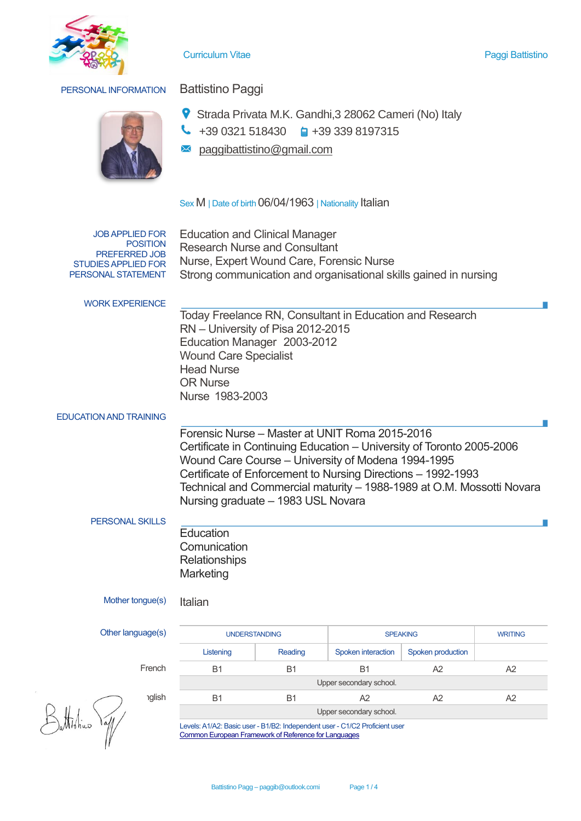

## Curriculum Vitae Paggi Battistino

# PERSONAL INFORMATION Battistino Paggi



- Strada Privata M.K. Gandhi,3 28062 Cameri (No) Italy
- $\bigcup$  +39 0321 518430  $\bigoplus$  +39 339 8197315
- paggibattistino@gmail.com

# Sex M | Date of birth 06/04/1963 | Nationality Italian

JOB APPLIED FOR POSITION PREFERRED JOB STUDIES APPLIED FOR PERSONAL STATEMENT

Education and Clinical Manager Research Nurse and Consultant Nurse, Expert Wound Care, Forensic Nurse Strong communication and organisational skills gained in nursing

WORK EXPERIENCE

Today Freelance RN, Consultant in Education and Research RN – University of Pisa 2012-2015 Education Manager 2003-2012 Wound Care Specialist Head Nurse OR Nurse Nurse 1983-2003

## EDUCATION AND TRAINING

Forensic Nurse – Master at UNIT Roma 2015-2016 Certificate in Continuing Education – University of Toronto 2005-2006 Wound Care Course – University of Modena 1994-1995 Certificate of Enforcement to Nursing Directions – 1992-1993 Technical and Commercial maturity – 1988-1989 at O.M. Mossotti Novara Nursing graduate – 1983 USL Novara

# PERSONAL SKILLS

**Education Comunication Relationships Marketing** 

Mother tongue(s) Italian

# Other language

Battistino

| uage(s)       | <b>UNDERSTANDING</b>    |         | <b>SPEAKING</b>         | <b>WRITING</b>    |    |  |  |
|---------------|-------------------------|---------|-------------------------|-------------------|----|--|--|
|               | Listening               | Reading | Spoken interaction      | Spoken production |    |  |  |
| French        | <b>B1</b>               | B1      | B <sub>1</sub>          | A <sub>2</sub>    | A2 |  |  |
|               |                         |         | Upper secondary school. |                   |    |  |  |
| <b>nglish</b> | B <sub>1</sub><br>B1    |         | A <sub>2</sub><br>A2    |                   | A2 |  |  |
|               | Upper secondary school. |         |                         |                   |    |  |  |

Levels: A1/A2: Basic user - B1/B2: Independent user - C1/C2 Proficient user [Common European Framework of Reference for Languages](http://europass.cedefop.europa.eu/en/resources/european-language-levels-cefr)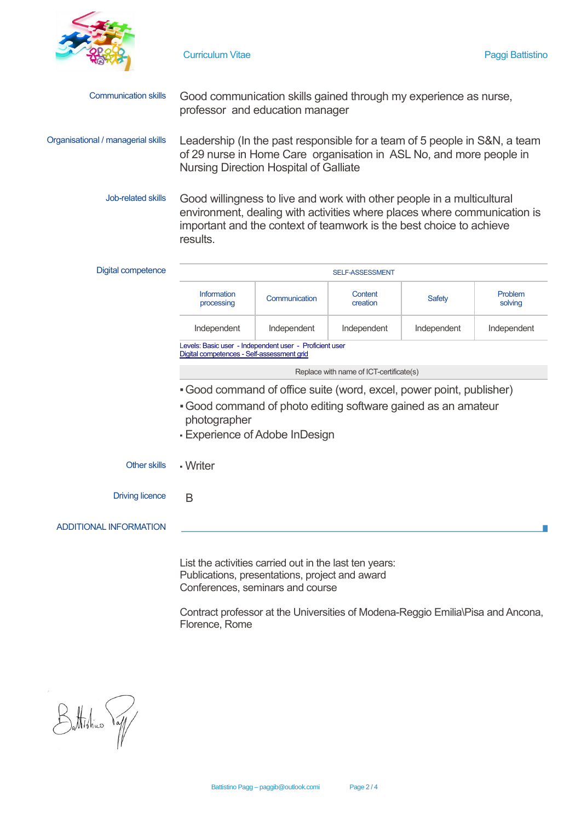

| Communication skills Good communication skills gained through my experience as nurse, |
|---------------------------------------------------------------------------------------|
| professor and education manager                                                       |

Organisational / managerial skills Leadership (In the past responsible for a team of 5 people in S&N, a team of 29 nurse in Home Care organisation in ASL No, and more people in Nursing Direction Hospital of Galliate

> Job-related skills Good willingness to live and work with other people in a multicultural environment, dealing with activities where places where communication is important and the context of teamwork is the best choice to achieve results.

| <b>Digital competence</b>     | <b>SELF-ASSESSMENT</b>                                                                                          |               |                     |             |                    |  |  |
|-------------------------------|-----------------------------------------------------------------------------------------------------------------|---------------|---------------------|-------------|--------------------|--|--|
|                               | Information<br>processing                                                                                       | Communication | Content<br>creation | Safety      | Problem<br>solving |  |  |
|                               | Independent                                                                                                     | Independent   | Independent         | Independent | Independent        |  |  |
|                               | Levels: Basic user - Independent user - Proficient user<br>Digital competences - Self-assessment grid           |               |                     |             |                    |  |  |
|                               | Replace with name of ICT-certificate(s)                                                                         |               |                     |             |                    |  |  |
|                               | • Good command of office suite (word, excel, power point, publisher)                                            |               |                     |             |                    |  |  |
|                               | . Good command of photo editing software gained as an amateur<br>photographer<br>- Experience of Adobe InDesign |               |                     |             |                    |  |  |
| Other skills                  | - Writer                                                                                                        |               |                     |             |                    |  |  |
| <b>Driving licence</b>        | B                                                                                                               |               |                     |             |                    |  |  |
| <b>ADDITIONAL INFORMATION</b> |                                                                                                                 |               |                     |             |                    |  |  |
|                               | List the activities carried out in the last ten years:                                                          |               |                     |             |                    |  |  |

Publications, presentations, project and award Conferences, seminars and course

Contract professor at the Universities of Modena-Reggio Emilia\Pisa and Ancona, Florence, Rome

Battistine Vall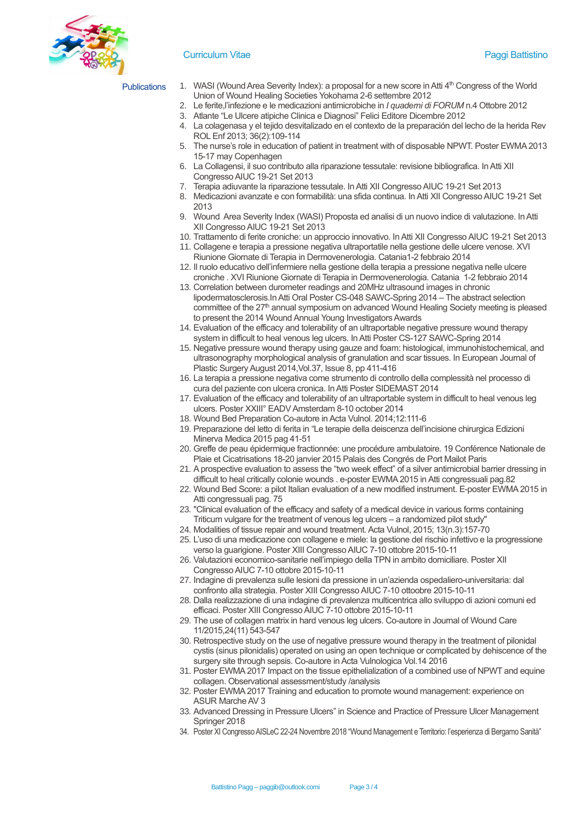

### Curriculum Vitae Paggi Battistino

- Publications 1. WASI (Wound Area Severity Index): a proposal for a new score in Atti 4th Congress of the World Union of Wound Healing Societies Yokohama 2-6 settembre 2012
	- 2. Le ferite,l'infezione e le medicazioni antimicrobiche in *I quaderni di FORUM* n.4 Ottobre 2012
	- 3. Atlante "Le Ulcere atipiche Clinica e Diagnosi" Felici Editore Dicembre 2012
	- 4. La colagenasa y el tejido desvitalizado en el contexto de la preparación del lecho de la herida Rev ROL Enf 2013; 36(2):109-114
	- 5. The nurse's role in education of patient in treatment with of disposable NPWT. Poster EWMA 2013 15-17 may Copenhagen
	- 6. La Collagensi, il suo contributo alla riparazione tessutale: revisione bibliografica. In Atti XII Congresso AIUC 19-21 Set 2013
	- 7. Terapia adiuvante la riparazione tessutale. In Atti XII Congresso AIUC 19-21 Set 2013
	- 8. Medicazioni avanzate e con formabilità: una sfida continua. In Atti XII Congresso AIUC 19-21 Set 2013
	- 9. Wound Area Severity Index (WASI) Proposta ed analisi di un nuovo indice di valutazione. In Atti XII Congresso AIUC 19-21 Set 2013
	- 10. Trattamento di ferite croniche: un approccio innovativo. In Atti XII Congresso AIUC 19-21 Set 2013
	- 11. Collagene e terapia a pressione negativa ultraportatile nella gestione delle ulcere venose. XVI Riunione Giornate di Terapia in Dermovenerologia. Catania1-2 febbraio 2014
	- 12. Il ruolo educativo dell'infermiere nella gestione della terapia a pressione negativa nelle ulcere croniche . XVI Riunione Giornate di Terapia in Dermovenerologia. Catania 1-2 febbraio 2014
	- 13. Correlation between durometer readings and 20MHz ultrasound images in chronic lipodermatosclerosis.In Atti Oral Poster CS-048 SAWC-Spring 2014 – The abstract selection committee of the 27<sup>th</sup> annual symposium on advanced Wound Healing Society meeting is pleased to present the 2014 Wound Annual Young Investigators Awards
	- 14. Evaluation of the efficacy and tolerability of an ultraportable negative pressure wound therapy system in difficult to heal venous leg ulcers. In Atti Poster CS-127 SAWC-Spring 2014
	- 15. Negative pressure wound therapy using gauze and foam: histological, immunohistochemical, and ultrasonography morphological analysis of granulation and scar tissues. In European Journal of Plastic Surgery August 2014,Vol.37, Issue 8, pp 411-416
	- 16. La terapia a pressione negativa come strumento di controllo della complessità nel processo di cura del paziente con ulcera cronica. In Atti Poster SIDEMAST 2014
	- 17. Evaluation of the efficacy and tolerability of an ultraportable system in difficult to heal venous leg ulcers. Poster XXIII° EADV Amsterdam 8-10 october 2014
	- 18. Wound Bed Preparation Co-autore in Acta Vulnol. 2014;12:111-6
	- 19. Preparazione del letto di ferita in "Le terapie della deiscenza dell'incisione chirurgica Edizioni Minerva Medica 2015 pag 41-51
	- 20. Greffe de peau épidermique fractionnée: une procédure ambulatoire. 19 Conférence Nationale de Plaie et Cicatrisations 18-20 janvier 2015 Palais des Congrés de Port Mailot Paris
	- 21. A prospective evaluation to assess the "two week effect" of a silver antimicrobial barrier dressing in difficult to heal critically colonie wounds . e-poster EWMA 2015 in Atti congressuali pag.82
	- 22. Wound Bed Score: a pilot Italian evaluation of a new modified instrument. E-poster EWMA 2015 in Atti congressuali pag. 75
	- 23. "Clinical evaluation of the efficacy and safety of a medical device in various forms containing Triticum vulgare for the treatment of venous leg ulcers – a randomized pilot study"
	- 24. Modalities of tissue repair and wound treatment. Acta Vulnol, 2015; 13(n.3):157-70
	- 25. L'uso di una medicazione con collagene e miele: la gestione del rischio infettivo e la progressione verso la guarigione. Poster XIII Congresso AIUC 7-10 ottobre 2015-10-11
	- 26. Valutazioni economico-sanitarie nell'impiego della TPN in ambito domiciliare. Poster XII Congresso AIUC 7-10 ottobre 2015-10-11
	- 27. Indagine di prevalenza sulle lesioni da pressione in un'azienda ospedaliero-universitaria: dal confronto alla strategia. Poster XIII Congresso AIUC 7-10 ottoobre 2015-10-11
	- 28. Dalla realizzazione di una indagine di prevalenza multicentrica allo sviluppo di azioni comuni ed efficaci. Poster XIII Congresso AIUC 7-10 ottobre 2015-10-11
	- 29. The use of collagen matrix in hard venous leg ulcers. Co-autore in Journal of Wound Care 11/2015,24(11) 543-547
	- 30. Retrospective study on the use of negative pressure wound therapy in the treatment of pilonidal cystis (sinus pilonidalis) operated on using an open technique or complicated by dehiscence of the surgery site through sepsis. Co-autore in Acta Vulnologica Vol.14 2016
	- 31. Poster EWMA 2017 Impact on the tissue epithelialization of a combined use of NPWT and equine collagen. Observational assessment/study /analysis
	- 32. Poster EWMA 2017 Training and education to promote wound management: experience on ASUR Marche AV 3
	- 33. Advanced Dressing in Pressure Ulcers" in Science and Practice of Pressure Ulcer Management Springer 2018
	- 34. Poster XI Congresso AISLeC 22-24 Novembre 2018 "Wound Management e Territorio: l'esperienza di Bergamo Sanità"